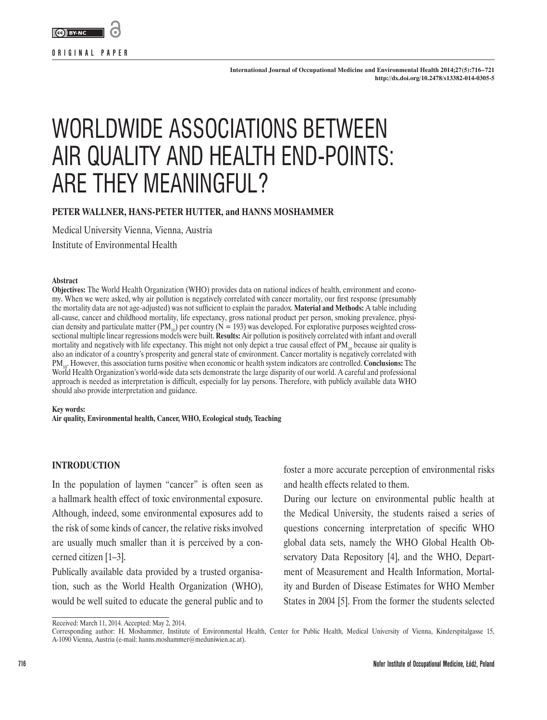

**ORIGINAL PAPER**

# WORLDWIDE ASSOCIATIONS BETWEEN AIR QUALITY AND HEALTH END-POINTS: ARE THEY MEANINGFUL?

# **PETER WALLNER, HANS-PETER HUTTER, and HANNS MOSHAMMER**

Medical University Vienna, Vienna, Austria Institute of Environmental Health

#### **Abstract**

**Objectives:** The World Health Organization (WHO) provides data on national indices of health, environment and economy. When we were asked, why air pollution is negatively correlated with cancer mortality, our first response (presumably the mortality data are not age-adjusted) was not sufficient to explain the paradox. **Material and Methods:** A table including all-cause, cancer and childhood mortality, life expectancy, gross national product per person, smoking prevalence, physician density and particulate matter  $(PM_{10})$  per country (N = 193) was developed. For explorative purposes weighted crosssectional multiple linear regressions models were built. **Results:** Air pollution is positively correlated with infant and overall mortality and negatively with life expectancy. This might not only depict a true causal effect of  $PM_{10}$  because air quality is also an indicator of a country's prosperity and general state of environment. Cancer mortality is negatively correlated with PM10. However, this association turns positive when economic or health system indicators are controlled. **Conclusions:** The World Health Organization's world-wide data sets demonstrate the large disparity of our world. A careful and professional approach is needed as interpretation is difficult, especially for lay persons. Therefore, with publicly available data WHO should also provide interpretation and guidance.

#### **Key words:**

**Air quality, Environmental health, Cancer, WHO, Ecological study, Teaching**

## **INTRODUCTION**

In the population of laymen "cancer" is often seen as a hallmark health effect of toxic environmental exposure. Although, indeed, some environmental exposures add to the risk of some kinds of cancer, the relative risks involved are usually much smaller than it is perceived by a concerned citizen [1–3].

Publically available data provided by a trusted organisation, such as the World Health Organization (WHO), would be well suited to educate the general public and to

foster a more accurate perception of environmental risks and health effects related to them.

During our lecture on environmental public health at the Medical University, the students raised a series of questions concerning interpretation of specific WHO global data sets, namely the WHO Global Health Observatory Data Repository [4], and the WHO, Department of Measurement and Health Information, Mortality and Burden of Disease Estimates for WHO Member States in 2004 [5]. From the former the students selected

Received: March 11, 2014. Accepted: May 2, 2014.

Corresponding author: H. Moshammer, Institute of Environmental Health, Center for Public Health, Medical University of Vienna, Kinderspitalgasse 15, A-1090 Vienna, Austria (e-mail: hanns.moshammer@meduniwien.ac.at).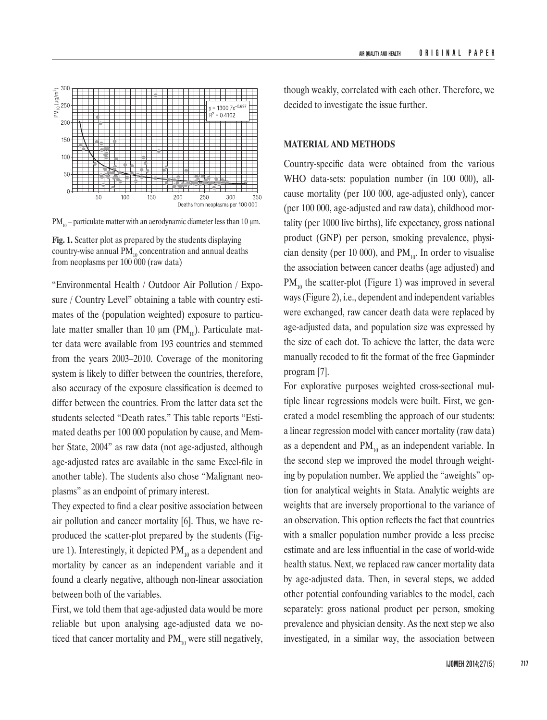

 $PM_{10}$  – particulate matter with an aerodynamic diameter less than 10 µm.



"Environmental Health / Outdoor Air Pollution / Exposure / Country Level" obtaining a table with country estimates of the (population weighted) exposure to particulate matter smaller than 10  $\mu$ m (PM<sub>10</sub>). Particulate matter data were available from 193 countries and stemmed from the years 2003–2010. Coverage of the monitoring system is likely to differ between the countries, therefore, also accuracy of the exposure classification is deemed to differ between the countries. From the latter data set the students selected "Death rates." This table reports "Estimated deaths per 100 000 population by cause, and Member State, 2004" as raw data (not age-adjusted, although age-adjusted rates are available in the same Excel-file in another table). The students also chose "Malignant neoplasms" as an endpoint of primary interest.

They expected to find a clear positive association between air pollution and cancer mortality [6]. Thus, we have reproduced the scatter-plot prepared by the students (Figure 1). Interestingly, it depicted  $PM_{10}$  as a dependent and mortality by cancer as an independent variable and it found a clearly negative, although non-linear association between both of the variables.

First, we told them that age-adjusted data would be more reliable but upon analysing age-adjusted data we noticed that cancer mortality and  $PM_{10}$  were still negatively,

though weakly, correlated with each other. Therefore, we decided to investigate the issue further.

## **MATERIAL AND METHODS**

Country-specific data were obtained from the various WHO data-sets: population number (in 100 000), allcause mortality (per 100 000, age-adjusted only), cancer (per 100 000, age-adjusted and raw data), childhood mortality (per 1000 live births), life expectancy, gross national product (GNP) per person, smoking prevalence, physician density (per 10 000), and  $PM_{10}$ . In order to visualise the association between cancer deaths (age adjusted) and  $PM_{10}$  the scatter-plot (Figure 1) was improved in several ways (Figure 2), i.e., dependent and independent variables were exchanged, raw cancer death data were replaced by age-adjusted data, and population size was expressed by the size of each dot. To achieve the latter, the data were manually recoded to fit the format of the free Gapminder program [7].

For explorative purposes weighted cross-sectional multiple linear regressions models were built. First, we generated a model resembling the approach of our students: a linear regression model with cancer mortality (raw data) as a dependent and  $PM_{10}$  as an independent variable. In the second step we improved the model through weighting by population number. We applied the "aweights" option for analytical weights in Stata. Analytic weights are weights that are inversely proportional to the variance of an observation. This option reflects the fact that countries with a smaller population number provide a less precise estimate and are less influential in the case of world-wide health status. Next, we replaced raw cancer mortality data by age-adjusted data. Then, in several steps, we added other potential confounding variables to the model, each separately: gross national product per person, smoking prevalence and physician density. As the next step we also investigated, in a similar way, the association between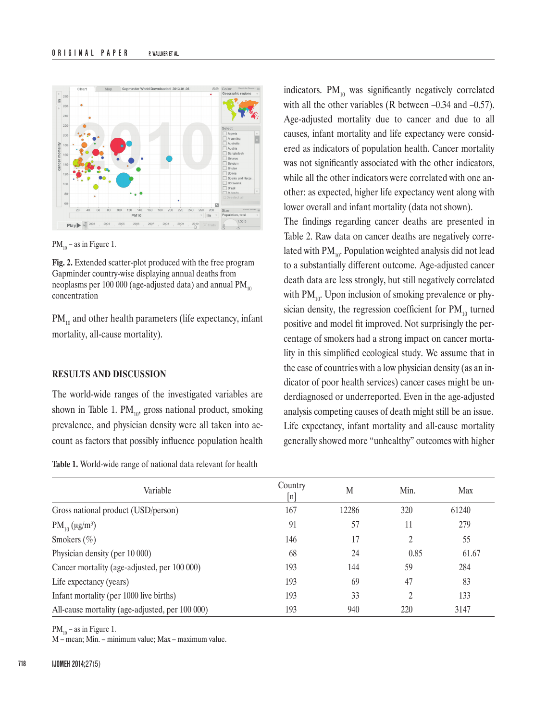

 $PM_{10}$  – as in Figure 1.

**Fig. 2.** Extended scatter-plot produced with the free program Gapminder country-wise displaying annual deaths from neoplasms per 100 000 (age-adjusted data) and annual  $PM_{10}$ concentration

 $PM_{10}$  and other health parameters (life expectancy, infant mortality, all-cause mortality).

### **RESULTS AND DISCUSSION**

The world-wide ranges of the investigated variables are shown in Table 1.  $PM_{10}$ , gross national product, smoking prevalence, and physician density were all taken into account as factors that possibly influence population health

| Table 1. World-wide range of national data relevant for health |  |  |  |
|----------------------------------------------------------------|--|--|--|
|----------------------------------------------------------------|--|--|--|

indicators.  $PM$ <sub>10</sub> was significantly negatively correlated with all the other variables (R between –0.34 and –0.57). Age-adjusted mortality due to cancer and due to all causes, infant mortality and life expectancy were considered as indicators of population health. Cancer mortality was not significantly associated with the other indicators, while all the other indicators were correlated with one another: as expected, higher life expectancy went along with lower overall and infant mortality (data not shown).

The findings regarding cancer deaths are presented in Table 2. Raw data on cancer deaths are negatively correlated with  $PM_{10}$ . Population weighted analysis did not lead to a substantially different outcome. Age-adjusted cancer death data are less strongly, but still negatively correlated with  $PM_{10}$ . Upon inclusion of smoking prevalence or physician density, the regression coefficient for  $PM_{10}$  turned positive and model fit improved. Not surprisingly the percentage of smokers had a strong impact on cancer mortality in this simplified ecological study. We assume that in the case of countries with a low physician density (as an indicator of poor health services) cancer cases might be underdiagnosed or underreported. Even in the age-adjusted analysis competing causes of death might still be an issue. Life expectancy, infant mortality and all-cause mortality generally showed more "unhealthy" outcomes with higher

| Variable                                        | Country<br>[n] | M     | Min.           | Max   |
|-------------------------------------------------|----------------|-------|----------------|-------|
| Gross national product (USD/person)             | 167            | 12286 | 320            | 61240 |
| $PM_{10} (\mu g/m^3)$                           | 91             | 57    | 11             | 279   |
| Smokers $(\% )$                                 | 146            | 17    | $\overline{2}$ | 55    |
| Physician density (per 10 000)                  | 68             | 24    | 0.85           | 61.67 |
| Cancer mortality (age-adjusted, per 100 000)    | 193            | 144   | 59             | 284   |
| Life expectancy (years)                         | 193            | 69    | 47             | 83    |
| Infant mortality (per 1000 live births)         | 193            | 33    | $\overline{2}$ | 133   |
| All-cause mortality (age-adjusted, per 100 000) | 193            | 940   | 220            | 3147  |

 $PM_{10}$  – as in Figure 1.

M – mean; Min. – minimum value; Max – maximum value.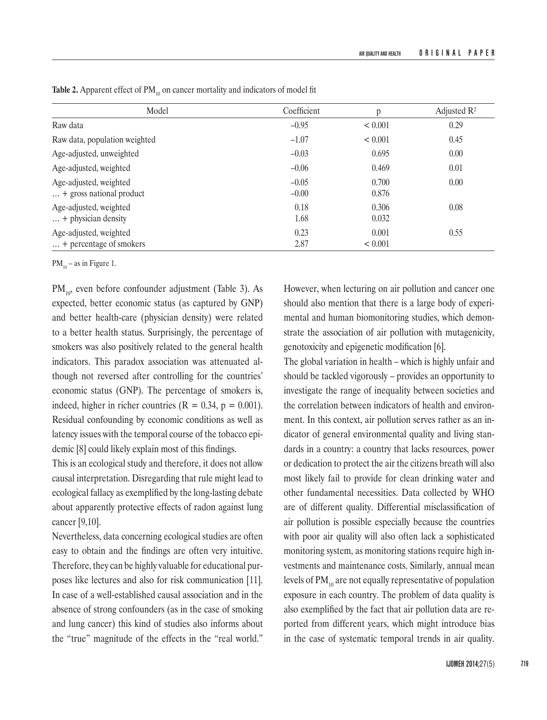| Model                                                      | Coefficient        | p                | Adjusted $\mathbb{R}^2$ |
|------------------------------------------------------------|--------------------|------------------|-------------------------|
| Raw data                                                   | $-0.95$            | < 0.001          | 0.29                    |
| Raw data, population weighted                              | $-1.07$            | < 0.001          | 0.45                    |
| Age-adjusted, unweighted                                   | $-0.03$            | 0.695            | 0.00                    |
| Age-adjusted, weighted                                     | $-0.06$            | 0.469            | 0.01                    |
| Age-adjusted, weighted<br>$\dots$ + gross national product | $-0.05$<br>$-0.00$ | 0.700<br>0.876   | 0.00                    |
| Age-adjusted, weighted<br>$\ldots$ + physician density     | 0.18<br>1.68       | 0.306<br>0.032   | 0.08                    |
| Age-adjusted, weighted<br>$\dots$ + percentage of smokers  | 0.23<br>2.87       | 0.001<br>< 0.001 | 0.55                    |

**Table 2.** Apparent effect of PM<sub>10</sub> on cancer mortality and indicators of model fit

 $PM_{10}$  – as in Figure 1.

 $PM_{10}$ , even before confounder adjustment (Table 3). As expected, better economic status (as captured by GNP) and better health-care (physician density) were related to a better health status. Surprisingly, the percentage of smokers was also positively related to the general health indicators. This paradox association was attenuated although not reversed after controlling for the countries' economic status (GNP). The percentage of smokers is, indeed, higher in richer countries  $(R = 0.34, p = 0.001)$ . Residual confounding by economic conditions as well as latency issues with the temporal course of the tobacco epidemic [8] could likely explain most of this findings.

This is an ecological study and therefore, it does not allow causal interpretation. Disregarding that rule might lead to ecological fallacy as exemplified by the long-lasting debate about apparently protective effects of radon against lung cancer [9,10].

Nevertheless, data concerning ecological studies are often easy to obtain and the findings are often very intuitive. Therefore, they can be highly valuable for educational purposes like lectures and also for risk communication [11]. In case of a well-established causal association and in the absence of strong confounders (as in the case of smoking and lung cancer) this kind of studies also informs about the "true" magnitude of the effects in the "real world."

However, when lecturing on air pollution and cancer one should also mention that there is a large body of experimental and human biomonitoring studies, which demonstrate the association of air pollution with mutagenicity, genotoxicity and epigenetic modification [6].

The global variation in health – which is highly unfair and should be tackled vigorously – provides an opportunity to investigate the range of inequality between societies and the correlation between indicators of health and environment. In this context, air pollution serves rather as an indicator of general environmental quality and living standards in a country: a country that lacks resources, power or dedication to protect the air the citizens breath will also most likely fail to provide for clean drinking water and other fundamental necessities. Data collected by WHO are of different quality. Differential misclassification of air pollution is possible especially because the countries with poor air quality will also often lack a sophisticated monitoring system, as monitoring stations require high investments and maintenance costs. Similarly, annual mean levels of  $PM_{10}$  are not equally representative of population exposure in each country. The problem of data quality is also exemplified by the fact that air pollution data are reported from different years, which might introduce bias in the case of systematic temporal trends in air quality.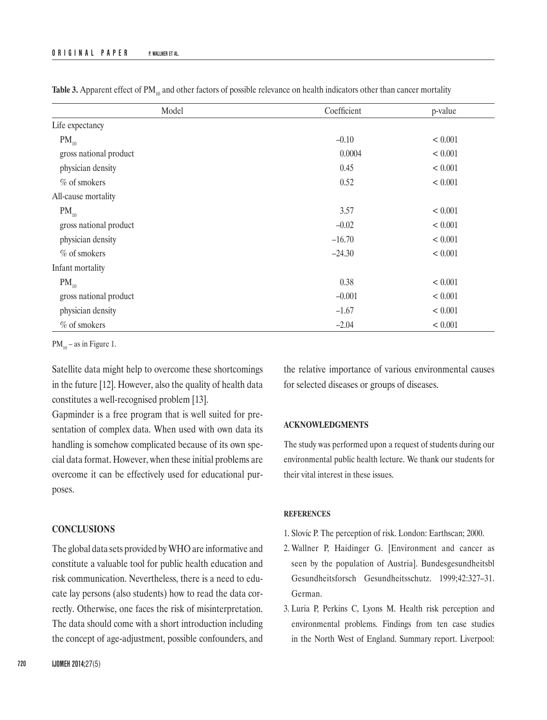| Model                  | Coefficient | p-value |
|------------------------|-------------|---------|
| Life expectancy        |             |         |
| $PM_{10}$              | $-0.10$     | < 0.001 |
| gross national product | 0.0004      | < 0.001 |
| physician density      | 0.45        | < 0.001 |
| $%$ of smokers         | 0.52        | < 0.001 |
| All-cause mortality    |             |         |
| $PM_{10}$              | 3.57        | < 0.001 |
| gross national product | $-0.02$     | < 0.001 |
| physician density      | $-16.70$    | < 0.001 |
| $%$ of smokers         | $-24.30$    | < 0.001 |
| Infant mortality       |             |         |
| $PM_{10}$              | 0.38        | < 0.001 |
| gross national product | $-0.001$    | < 0.001 |
| physician density      | $-1.67$     | < 0.001 |
| $%$ of smokers         | $-2.04$     | < 0.001 |

**Table 3.** Apparent effect of PM<sub>10</sub> and other factors of possible relevance on health indicators other than cancer mortality

 $PM_{10}$  – as in Figure 1.

Satellite data might help to overcome these shortcomings in the future [12]. However, also the quality of health data constitutes a well-recognised problem [13].

Gapminder is a free program that is well suited for presentation of complex data. When used with own data its handling is somehow complicated because of its own special data format. However, when these initial problems are overcome it can be effectively used for educational purposes.

## **CONCLUSIONS**

The global data sets provided by WHO are informative and constitute a valuable tool for public health education and risk communication. Nevertheless, there is a need to educate lay persons (also students) how to read the data correctly. Otherwise, one faces the risk of misinterpretation. The data should come with a short introduction including the concept of age-adjustment, possible confounders, and

the relative importance of various environmental causes for selected diseases or groups of diseases.

#### **ACKNOWLEDGMENTS**

The study was performed upon a request of students during our environmental public health lecture. We thank our students for their vital interest in these issues.

### **REFERENCES**

- 1. Slovic P. The perception of risk. London: Earthscan; 2000.
- 2. Wallner P, Haidinger G. [Environment and cancer as seen by the population of Austria]. Bundesgesundheitsbl Gesundheitsforsch Gesundheitsschutz. 1999;42:327–31. German.
- 3. Luria P, Perkins C, Lyons M. Health risk perception and environmental problems. Findings from ten case studies in the North West of England. Summary report. Liverpool: